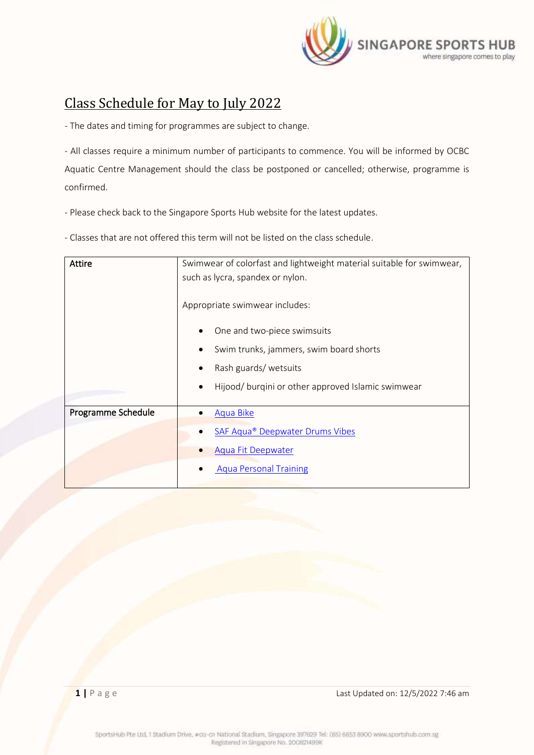

## <span id="page-0-0"></span>Class Schedule for May to July 2022

- The dates and timing for programmes are subject to change.

- All classes require a minimum number of participants to commence. You will be informed by OCBC

Aquatic Centre Management should the class be postponed or cancelled; otherwise, programme is confirmed.

- Please check back to the Singapore Sports Hub website for the latest updates.

- Classes that are not offered this term will not be listed on the class schedule.

| <b>Attire</b>      | Swimwear of colorfast and lightweight material suitable for swimwear,<br>such as lycra, spandex or nylon. |  |  |  |  |
|--------------------|-----------------------------------------------------------------------------------------------------------|--|--|--|--|
|                    | Appropriate swimwear includes:                                                                            |  |  |  |  |
|                    | One and two-piece swimsuits                                                                               |  |  |  |  |
|                    | Swim trunks, jammers, swim board shorts<br>Rash guards/wetsuits                                           |  |  |  |  |
|                    |                                                                                                           |  |  |  |  |
|                    | Hijood/ burgini or other approved Islamic swimwear                                                        |  |  |  |  |
| Programme Schedule | Aqua Bike                                                                                                 |  |  |  |  |
|                    |                                                                                                           |  |  |  |  |
|                    | <b>SAF Aqua<sup>®</sup> Deepwater Drums Vibes</b>                                                         |  |  |  |  |
|                    | <b>Aqua Fit Deepwater</b>                                                                                 |  |  |  |  |
|                    | <b>Aqua Personal Training</b>                                                                             |  |  |  |  |
|                    |                                                                                                           |  |  |  |  |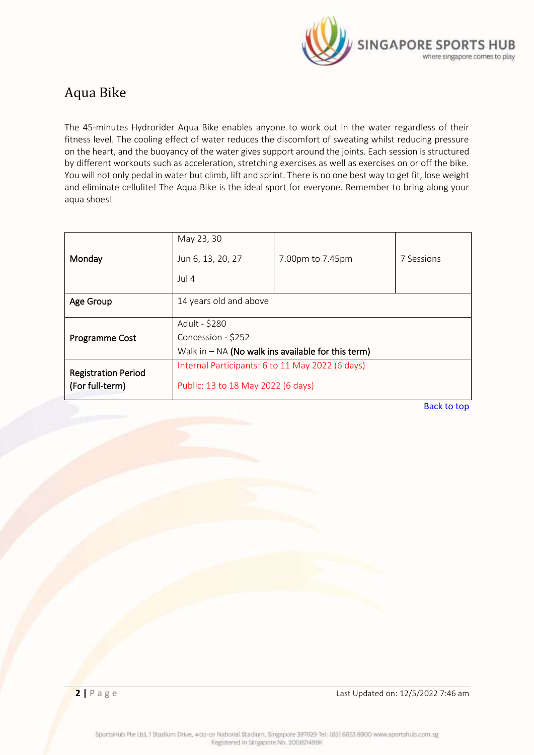

### <span id="page-1-0"></span>Aqua Bike

The 45-minutes Hydrorider Aqua Bike enables anyone to work out in the water regardless of their fitness level. The cooling effect of water reduces the discomfort of sweating whilst reducing pressure on the heart, and the buoyancy of the water gives support around the joints. Each session is structured by different workouts such as acceleration, stretching exercises as well as exercises on or off the bike. You will not only pedal in water but climb, lift and sprint. There is no one best way to get fit, lose weight and eliminate cellulite! The Aqua Bike is the ideal sport for everyone. Remember to bring along your aqua shoes!

| Monday                                        | May 23, 30<br>Jun 6, 13, 20, 27<br>Jul 4                                                    | 7.00pm to 7.45pm | 7 Sessions |
|-----------------------------------------------|---------------------------------------------------------------------------------------------|------------------|------------|
| Age Group                                     | 14 years old and above                                                                      |                  |            |
| Programme Cost                                | Adult - \$280<br>Concession - \$252<br>Walk in $-$ NA (No walk ins available for this term) |                  |            |
| <b>Registration Period</b><br>(For full-term) | Internal Participants: 6 to 11 May 2022 (6 days)<br>Public: 13 to 18 May 2022 (6 days)      |                  |            |

[Back to top](#page-0-0)

**2 | P** a g e **Last Updated on: 12/5/2022 7:46 am**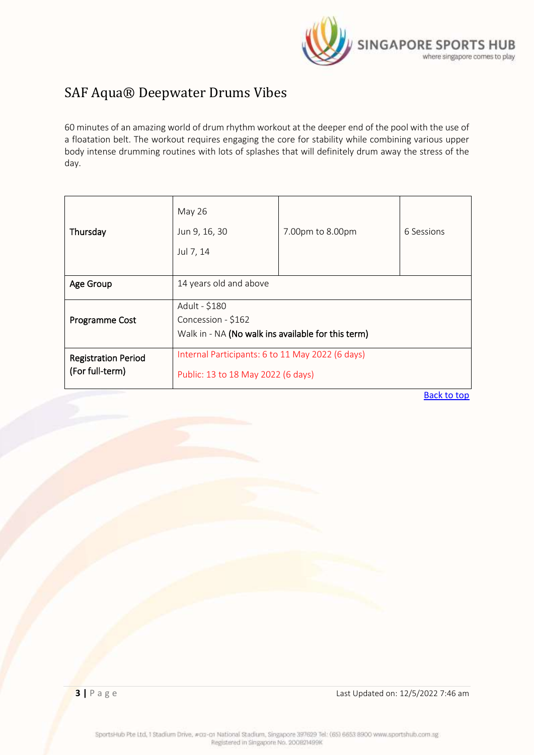

# <span id="page-2-0"></span>SAF Aqua® Deepwater Drums Vibes

60 minutes of an amazing world of drum rhythm workout at the deeper end of the pool with the use of a floatation belt. The workout requires engaging the core for stability while combining various upper body intense drumming routines with lots of splashes that will definitely drum away the stress of the day.

| Thursday                                      | May 26<br>Jun 9, 16, 30<br>Jul 7, 14                                                      | 7.00pm to 8.00pm | 6 Sessions |
|-----------------------------------------------|-------------------------------------------------------------------------------------------|------------------|------------|
| Age Group                                     | 14 years old and above                                                                    |                  |            |
| Programme Cost                                | Adult - \$180<br>Concession - \$162<br>Walk in - NA (No walk ins available for this term) |                  |            |
| <b>Registration Period</b><br>(For full-term) | Internal Participants: 6 to 11 May 2022 (6 days)<br>Public: 13 to 18 May 2022 (6 days)    |                  |            |

[Back to top](#page-0-0)

**3** | P a g e Last Updated on: 12/5/2022 7:46 am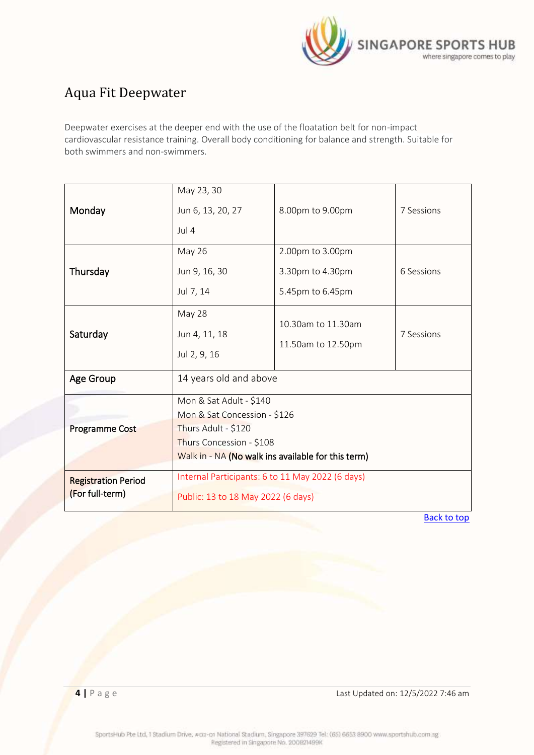

# <span id="page-3-0"></span>Aqua Fit Deepwater

Deepwater exercises at the deeper end with the use of the floatation belt for non-impact cardiovascular resistance training. Overall body conditioning for balance and strength. Suitable for both swimmers and non-swimmers.

| Monday                                        | May 23, 30<br>Jun 6, 13, 20, 27<br>Jul 4                                                                                                                         | 8.00pm to 9.00pm                                         | 7 Sessions |  |
|-----------------------------------------------|------------------------------------------------------------------------------------------------------------------------------------------------------------------|----------------------------------------------------------|------------|--|
| Thursday                                      | <b>May 26</b><br>Jun 9, 16, 30<br>Jul 7, 14                                                                                                                      | 2.00pm to 3.00pm<br>3.30pm to 4.30pm<br>5.45pm to 6.45pm | 6 Sessions |  |
| Saturday                                      | May 28<br>Jun 4, 11, 18<br>Jul 2, 9, 16                                                                                                                          | 10.30am to 11.30am<br>11.50am to 12.50pm                 | 7 Sessions |  |
| Age Group                                     | 14 years old and above                                                                                                                                           |                                                          |            |  |
| <b>Programme Cost</b>                         | Mon & Sat Adult - \$140<br>Mon & Sat Concession - \$126<br>Thurs Adult - \$120<br>Thurs Concession - \$108<br>Walk in - NA (No walk ins available for this term) |                                                          |            |  |
| <b>Registration Period</b><br>(For full-term) | Internal Participants: 6 to 11 May 2022 (6 days)<br>Public: 13 to 18 May 2022 (6 days)                                                                           |                                                          |            |  |

[Back to top](#page-0-0)

<span id="page-3-1"></span>**4** | **P** a g e **Last Updated on: 12/5/2022 7:46 am**